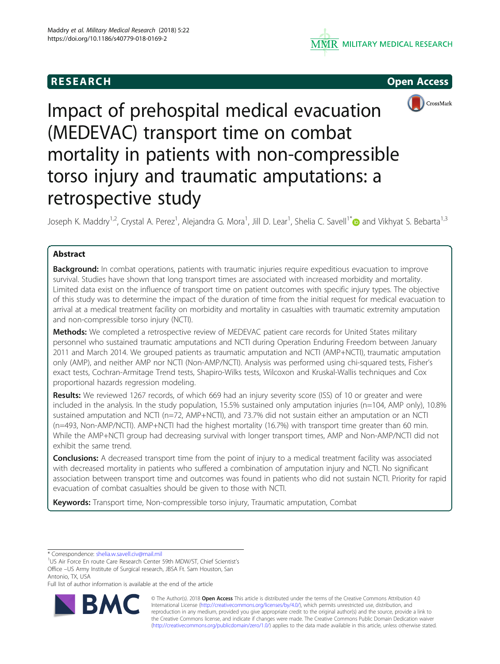# **RESEARCH CHING CONSUMING CONSUMING CONSUMING CONSUMING CONSUMING CONSUMING CONSUMING CONSUMING CONSUMING CONSUMING CONSUMING CONSUMING CONSUMING CONSUMING CONSUMING CONSUMING CONSUMING CONSUMING CONSUMING CONSUMING CONS**





# Impact of prehospital medical evacuation (MEDEVAC) transport time on combat mortality in patients with non-compressible torso injury and traumatic amputations: a retrospective study

Joseph K. Maddry<sup>1,2</sup>, Crystal A. Perez<sup>1</sup>, Alejandra G. Mora<sup>1</sup>, Jill D. Lear<sup>1</sup>, Shelia C. Savell<sup>1\*</sup> and Vikhyat S. Bebarta<sup>1,3</sup>

# Abstract

Background: In combat operations, patients with traumatic injuries require expeditious evacuation to improve survival. Studies have shown that long transport times are associated with increased morbidity and mortality. Limited data exist on the influence of transport time on patient outcomes with specific injury types. The objective of this study was to determine the impact of the duration of time from the initial request for medical evacuation to arrival at a medical treatment facility on morbidity and mortality in casualties with traumatic extremity amputation and non-compressible torso injury (NCTI).

Methods: We completed a retrospective review of MEDEVAC patient care records for United States military personnel who sustained traumatic amputations and NCTI during Operation Enduring Freedom between January 2011 and March 2014. We grouped patients as traumatic amputation and NCTI (AMP+NCTI), traumatic amputation only (AMP), and neither AMP nor NCTI (Non-AMP/NCTI). Analysis was performed using chi-squared tests, Fisher's exact tests, Cochran-Armitage Trend tests, Shapiro-Wilks tests, Wilcoxon and Kruskal-Wallis techniques and Cox proportional hazards regression modeling.

Results: We reviewed 1267 records, of which 669 had an injury severity score (ISS) of 10 or greater and were included in the analysis. In the study population, 15.5% sustained only amputation injuries (n=104, AMP only), 10.8% sustained amputation and NCTI (n=72, AMP+NCTI), and 73.7% did not sustain either an amputation or an NCTI (n=493, Non-AMP/NCTI). AMP+NCTI had the highest mortality (16.7%) with transport time greater than 60 min. While the AMP+NCTI group had decreasing survival with longer transport times, AMP and Non-AMP/NCTI did not exhibit the same trend.

**Conclusions:** A decreased transport time from the point of injury to a medical treatment facility was associated with decreased mortality in patients who suffered a combination of amputation injury and NCTI. No significant association between transport time and outcomes was found in patients who did not sustain NCTI. Priority for rapid evacuation of combat casualties should be given to those with NCTI.

Keywords: Transport time, Non-compressible torso injury, Traumatic amputation, Combat

Full list of author information is available at the end of the article



© The Author(s). 2018 Open Access This article is distributed under the terms of the Creative Commons Attribution 4.0 International License [\(http://creativecommons.org/licenses/by/4.0/](http://creativecommons.org/licenses/by/4.0/)), which permits unrestricted use, distribution, and reproduction in any medium, provided you give appropriate credit to the original author(s) and the source, provide a link to the Creative Commons license, and indicate if changes were made. The Creative Commons Public Domain Dedication waiver [\(http://creativecommons.org/publicdomain/zero/1.0/](http://creativecommons.org/publicdomain/zero/1.0/)) applies to the data made available in this article, unless otherwise stated.

<sup>\*</sup> Correspondence: [shelia.w.savell.civ@mail.mil](mailto:shelia.w.savell.civ@mail.mil) <sup>1</sup>

<sup>&</sup>lt;sup>1</sup>US Air Force En route Care Research Center 59th MDW/ST, Chief Scientist's Office –US Army Institute of Surgical research, JBSA Ft. Sam Houston, San Antonio, TX, USA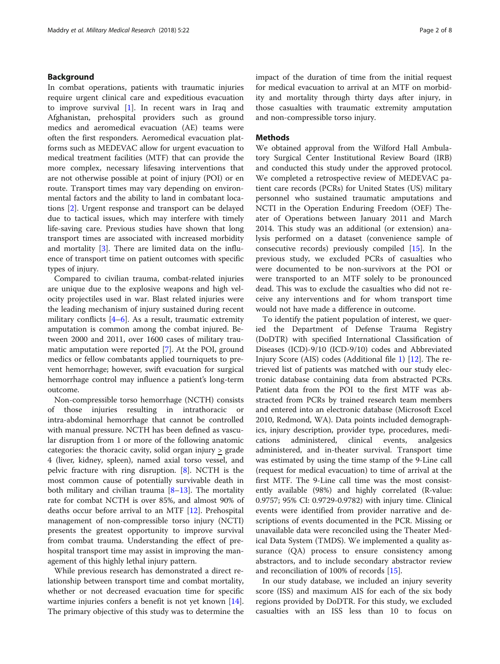# Background

In combat operations, patients with traumatic injuries require urgent clinical care and expeditious evacuation to improve survival [[1](#page-7-0)]. In recent wars in Iraq and Afghanistan, prehospital providers such as ground medics and aeromedical evacuation (AE) teams were often the first responders. Aeromedical evacuation platforms such as MEDEVAC allow for urgent evacuation to medical treatment facilities (MTF) that can provide the more complex, necessary lifesaving interventions that are not otherwise possible at point of injury (POI) or en route. Transport times may vary depending on environmental factors and the ability to land in combatant locations [[2](#page-7-0)]. Urgent response and transport can be delayed due to tactical issues, which may interfere with timely life-saving care. Previous studies have shown that long transport times are associated with increased morbidity and mortality [[3\]](#page-7-0). There are limited data on the influence of transport time on patient outcomes with specific types of injury.

Compared to civilian trauma, combat-related injuries are unique due to the explosive weapons and high velocity projectiles used in war. Blast related injuries were the leading mechanism of injury sustained during recent military conflicts  $[4-6]$  $[4-6]$  $[4-6]$  $[4-6]$ . As a result, traumatic extremity amputation is common among the combat injured. Between 2000 and 2011, over 1600 cases of military traumatic amputation were reported [\[7](#page-7-0)]. At the POI, ground medics or fellow combatants applied tourniquets to prevent hemorrhage; however, swift evacuation for surgical hemorrhage control may influence a patient's long-term outcome.

Non-compressible torso hemorrhage (NCTH) consists of those injuries resulting in intrathoracic or intra-abdominal hemorrhage that cannot be controlled with manual pressure. NCTH has been defined as vascular disruption from 1 or more of the following anatomic categories: the thoracic cavity, solid organ injury > grade 4 (liver, kidney, spleen), named axial torso vessel, and pelvic fracture with ring disruption. [\[8\]](#page-7-0). NCTH is the most common cause of potentially survivable death in both military and civilian trauma  $[8-13]$  $[8-13]$  $[8-13]$ . The mortality rate for combat NCTH is over 85%, and almost 90% of deaths occur before arrival to an MTF [[12\]](#page-7-0). Prehospital management of non-compressible torso injury (NCTI) presents the greatest opportunity to improve survival from combat trauma. Understanding the effect of prehospital transport time may assist in improving the management of this highly lethal injury pattern.

While previous research has demonstrated a direct relationship between transport time and combat mortality, whether or not decreased evacuation time for specific wartime injuries confers a benefit is not yet known [\[14](#page-7-0)]. The primary objective of this study was to determine the impact of the duration of time from the initial request for medical evacuation to arrival at an MTF on morbidity and mortality through thirty days after injury, in those casualties with traumatic extremity amputation and non-compressible torso injury.

# **Methods**

We obtained approval from the Wilford Hall Ambulatory Surgical Center Institutional Review Board (IRB) and conducted this study under the approved protocol. We completed a retrospective review of MEDEVAC patient care records (PCRs) for United States (US) military personnel who sustained traumatic amputations and NCTI in the Operation Enduring Freedom (OEF) Theater of Operations between January 2011 and March 2014. This study was an additional (or extension) analysis performed on a dataset (convenience sample of consecutive records) previously compiled [[15](#page-7-0)]. In the previous study, we excluded PCRs of casualties who were documented to be non-survivors at the POI or were transported to an MTF solely to be pronounced dead. This was to exclude the casualties who did not receive any interventions and for whom transport time would not have made a difference in outcome.

To identify the patient population of interest, we queried the Department of Defense Trauma Registry (DoDTR) with specified International Classification of Diseases (ICD)-9/10 (ICD-9/10) codes and Abbreviated Injury Score (AIS) codes (Additional file [1\)](#page-6-0) [\[12\]](#page-7-0). The retrieved list of patients was matched with our study electronic database containing data from abstracted PCRs. Patient data from the POI to the first MTF was abstracted from PCRs by trained research team members and entered into an electronic database (Microsoft Excel 2010, Redmond, WA). Data points included demographics, injury description, provider type, procedures, medications administered, clinical events, analgesics administered, and in-theater survival. Transport time was estimated by using the time stamp of the 9-Line call (request for medical evacuation) to time of arrival at the first MTF. The 9-Line call time was the most consistently available (98%) and highly correlated (R-value: 0.9757; 95% CI: 0.9729-0.9782) with injury time. Clinical events were identified from provider narrative and descriptions of events documented in the PCR. Missing or unavailable data were reconciled using the Theater Medical Data System (TMDS). We implemented a quality assurance (QA) process to ensure consistency among abstractors, and to include secondary abstractor review and reconciliation of 100% of records [\[15](#page-7-0)].

In our study database, we included an injury severity score (ISS) and maximum AIS for each of the six body regions provided by DoDTR. For this study, we excluded casualties with an ISS less than 10 to focus on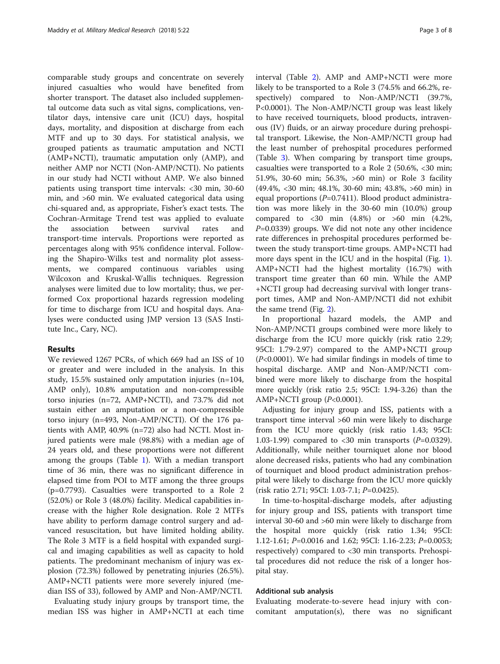comparable study groups and concentrate on severely injured casualties who would have benefited from shorter transport. The dataset also included supplemental outcome data such as vital signs, complications, ventilator days, intensive care unit (ICU) days, hospital days, mortality, and disposition at discharge from each MTF and up to 30 days. For statistical analysis, we grouped patients as traumatic amputation and NCTI (AMP+NCTI), traumatic amputation only (AMP), and neither AMP nor NCTI (Non-AMP/NCTI). No patients in our study had NCTI without AMP. We also binned patients using transport time intervals: <30 min, 30-60 min, and >60 min. We evaluated categorical data using chi-squared and, as appropriate, Fisher's exact tests. The Cochran-Armitage Trend test was applied to evaluate the association between survival rates and transport-time intervals. Proportions were reported as percentages along with 95% confidence interval. Following the Shapiro-Wilks test and normality plot assessments, we compared continuous variables using Wilcoxon and Kruskal-Wallis techniques. Regression analyses were limited due to low mortality; thus, we performed Cox proportional hazards regression modeling for time to discharge from ICU and hospital days. Analyses were conducted using JMP version 13 (SAS Institute Inc., Cary, NC).

# Results

We reviewed 1267 PCRs, of which 669 had an ISS of 10 or greater and were included in the analysis. In this study, 15.5% sustained only amputation injuries (n=104, AMP only), 10.8% amputation and non-compressible torso injuries (n=72, AMP+NCTI), and 73.7% did not sustain either an amputation or a non-compressible torso injury (n=493, Non-AMP/NCTI). Of the 176 patients with AMP, 40.9% (n=72) also had NCTI. Most injured patients were male (98.8%) with a median age of 24 years old, and these proportions were not different among the groups (Table [1\)](#page-3-0). With a median transport time of 36 min, there was no significant difference in elapsed time from POI to MTF among the three groups (p=0.7793). Casualties were transported to a Role 2 (52.0%) or Role 3 (48.0%) facility. Medical capabilities increase with the higher Role designation. Role 2 MTFs have ability to perform damage control surgery and advanced resuscitation, but have limited holding ability. The Role 3 MTF is a field hospital with expanded surgical and imaging capabilities as well as capacity to hold patients. The predominant mechanism of injury was explosion (72.3%) followed by penetrating injuries (26.5%). AMP+NCTI patients were more severely injured (median ISS of 33), followed by AMP and Non-AMP/NCTI.

Evaluating study injury groups by transport time, the median ISS was higher in AMP+NCTI at each time

interval (Table [2\)](#page-4-0). AMP and AMP+NCTI were more likely to be transported to a Role 3 (74.5% and 66.2%, respectively) compared to Non-AMP/NCTI (39.7%, P<0.0001). The Non-AMP/NCTI group was least likely to have received tourniquets, blood products, intravenous (IV) fluids, or an airway procedure during prehospital transport. Likewise, the Non-AMP/NCTI group had the least number of prehospital procedures performed (Table [3\)](#page-4-0). When comparing by transport time groups, casualties were transported to a Role 2 (50.6%, <30 min; 51.9%, 30-60 min; 56.3%, >60 min) or Role 3 facility (49.4%, <30 min; 48.1%, 30-60 min; 43.8%, >60 min) in equal proportions  $(P=0.7411)$ . Blood product administration was more likely in the 30-60 min (10.0%) group compared to  $<$  30 min  $(4.8%)$  or  $>$  60 min  $(4.2%)$ , P=0.0339) groups. We did not note any other incidence rate differences in prehospital procedures performed between the study transport-time groups. AMP+NCTI had more days spent in the ICU and in the hospital (Fig. [1](#page-5-0)). AMP+NCTI had the highest mortality (16.7%) with transport time greater than 60 min. While the AMP +NCTI group had decreasing survival with longer transport times, AMP and Non-AMP/NCTI did not exhibit the same trend (Fig. [2\)](#page-5-0).

In proportional hazard models, the AMP and Non-AMP/NCTI groups combined were more likely to discharge from the ICU more quickly (risk ratio 2.29; 95CI: 1.79-2.97) compared to the AMP+NCTI group (P<0.0001). We had similar findings in models of time to hospital discharge. AMP and Non-AMP/NCTI combined were more likely to discharge from the hospital more quickly (risk ratio 2.5; 95CI: 1.94-3.26) than the AMP+NCTI group  $(P<0.0001)$ .

Adjusting for injury group and ISS, patients with a transport time interval >60 min were likely to discharge from the ICU more quickly (risk ratio 1.43; 95CI: 1.03-1.99) compared to <30 min transports  $(P=0.0329)$ . Additionally, while neither tourniquet alone nor blood alone decreased risks, patients who had any combination of tourniquet and blood product administration prehospital were likely to discharge from the ICU more quickly (risk ratio 2.71; 95CI: 1.03-7.1; P=0.0425).

In time-to-hospital-discharge models, after adjusting for injury group and ISS, patients with transport time interval 30-60 and >60 min were likely to discharge from the hospital more quickly (risk ratio 1.34; 95CI: 1.12-1.61; P=0.0016 and 1.62; 95CI: 1.16-2.23; P=0.0053; respectively) compared to <30 min transports. Prehospital procedures did not reduce the risk of a longer hospital stay.

# Additional sub analysis

Evaluating moderate-to-severe head injury with concomitant amputation(s), there was no significant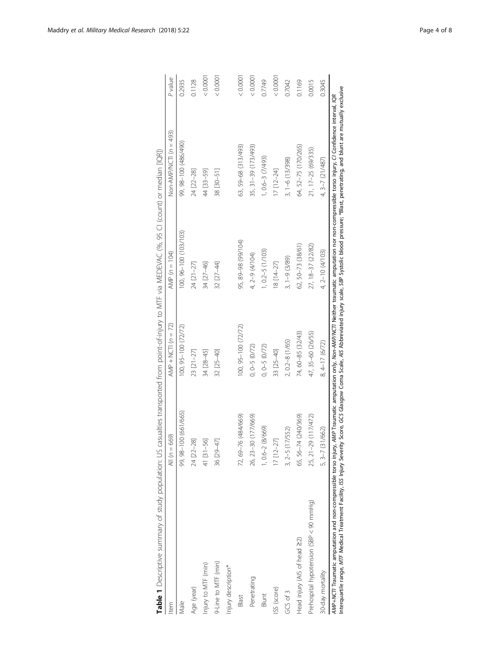<span id="page-3-0"></span>

| Table 1 Descriptive summary of study population: US casualties transported from point-of-injury to MTF via MEDEVAC (%, 95 CI (count) or median [IQR])                                                                                                                                       |                      |                         |                       |                                                                                                                                         |         |
|---------------------------------------------------------------------------------------------------------------------------------------------------------------------------------------------------------------------------------------------------------------------------------------------|----------------------|-------------------------|-----------------------|-----------------------------------------------------------------------------------------------------------------------------------------|---------|
| ltem                                                                                                                                                                                                                                                                                        | All $(n = 669)$      | AMP + NCTI ( $n = 72$ ) | AMP $(n = 104)$       | Non-AMP/NCTI (n = 493)                                                                                                                  | P value |
| Male                                                                                                                                                                                                                                                                                        | 99, 98-100 (661/665) | 100, 95-100 (72/72)     | 100, 96-100 (103/103) | 99, 98-100 (486/490)                                                                                                                    | 0.2935  |
| Age (year)                                                                                                                                                                                                                                                                                  | 24 [22-28]           | 23 [21-27]              | 24 [21-27]            | 24 [22-28]                                                                                                                              | 0.1128  |
| Injury to MTF (min)                                                                                                                                                                                                                                                                         | 41 [31-56]           | 34 [28-45]              | 34 [27-46]            | 44 [33-59]                                                                                                                              | 0.000   |
| 9-Line to MTF (min)                                                                                                                                                                                                                                                                         | 36 [29-47]           | 32 [25-40]              | 32 [27-44]            | 38 [30-51]                                                                                                                              | 0.000   |
| Injury description*                                                                                                                                                                                                                                                                         |                      |                         |                       |                                                                                                                                         |         |
| Blast                                                                                                                                                                                                                                                                                       | 72, 69-76 (484/669)  | 100, 95-100 (72/72)     | 95, 89-98 (99/104)    | 63, 59-68 (313/493)                                                                                                                     | 0.0001  |
| Penetrating                                                                                                                                                                                                                                                                                 | 26, 23-30 (177/669)  | $0, 0 - 5$ $(0/72)$     | 4, 2-9 (4/104)        | 35, 31-39 (173/493)                                                                                                                     | 0.0001  |
| Blunt                                                                                                                                                                                                                                                                                       | 1, 0.6-2 (8/669)     | $0, 0 - 5 (0/72)$       | $1, 0.2 - 5 (1/103)$  | $1, 0.6 - 3$ $(7/493)$                                                                                                                  | 0.7749  |
| ISS (score)                                                                                                                                                                                                                                                                                 | $17$ [12-27]         | 33 [25-40]              | 18 [14-27]            | $17$ [12-24]                                                                                                                            | 0.000   |
| GCS of 3                                                                                                                                                                                                                                                                                    | 3, 2-5 (17/552)      | $2, 0.2 - 8$ (1/65)     | $3, 1 - 9$ $(3/89)$   | $3, 1 - 6 (13/398)$                                                                                                                     | 0.7042  |
| Head injury (AIS of head 22)                                                                                                                                                                                                                                                                | 65, 56-74 (240/369)  | 74, 60-85 (32/43)       | 62, 50-73 (38/61)     | 64, 52-75 (170/265)                                                                                                                     | 0.1169  |
| Prehospital hypotension (SBP < 90 mmHg)                                                                                                                                                                                                                                                     | 25, 21-29 (117/472)  | 47, 35-60 (26/55)       | 27, 18–37 (22/82)     | 21, 17-25 (69/335)                                                                                                                      | 0.0015  |
| 30-day mortality                                                                                                                                                                                                                                                                            | 5, 3-7 (31/662)      | $8,4-17$ (6/72)         | 4, 2–10 (4/103)       | $4, 3-7$ (21/487)                                                                                                                       | 0.3045  |
| nterquartile range, MTF Medical Treatment Facility, ISS Injury Severity Score, GCS Glasgow Coma Scale, AIS Abbreviated injury scale, SBP Systolic blood pressure; *Blast, penetrating, and blunt are mutually exclusive<br>AMP+NCTI Traumatic amputation and non-compressible torso injury, |                      |                         |                       | AMP Traumatic amputation only, Non-AMP/NCTI Neither traumatic amputation nor non-compressible torso injury, CI Confidence interval, IQR |         |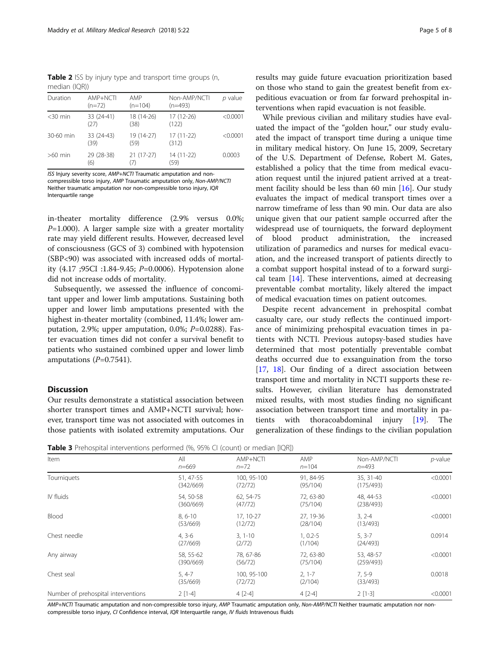<span id="page-4-0"></span>Table 2 ISS by injury type and transport time groups (n, median (IQR))

| Duration   | $AMP+NCTI$<br>$(n=72)$ | AMP<br>$(n=104)$   | Non-AMP/NCTI<br>$(n=493)$ | $p$ value |
|------------|------------------------|--------------------|---------------------------|-----------|
| $<$ 30 min | 33 (24-41)<br>(27)     | 18 (14-26)<br>(38) | $17(12-26)$<br>(122)      | < 0.0001  |
| 30-60 min  | 33 (24-43)<br>(39)     | 19 (14-27)<br>(59) | $17(11-22)$<br>(312)      | < 0.0001  |
| $>60$ min  | 29 (28-38)<br>(6)      | $21(17-27)$        | $14(11-22)$<br>(59)       | 0.0003    |

ISS Injury severity score, AMP+NCTI Traumatic amputation and noncompressible torso injury, AMP Traumatic amputation only, Non-AMP/NCTI Neither traumatic amputation nor non-compressible torso injury, IQR Interquartile range

in-theater mortality difference (2.9% versus 0.0%;  $P=1.000$ ). A larger sample size with a greater mortality rate may yield different results. However, decreased level of consciousness (GCS of 3) combined with hypotension (SBP<90) was associated with increased odds of mortality (4.17 ;95CI :1.84-9.45; P=0.0006). Hypotension alone did not increase odds of mortality.

Subsequently, we assessed the influence of concomitant upper and lower limb amputations. Sustaining both upper and lower limb amputations presented with the highest in-theater mortality (combined, 11.4%; lower amputation, 2.9%; upper amputation, 0.0%;  $P=0.0288$ ). Faster evacuation times did not confer a survival benefit to patients who sustained combined upper and lower limb amputations  $(P=0.7541)$ .

# **Discussion**

Our results demonstrate a statistical association between shorter transport times and AMP+NCTI survival; however, transport time was not associated with outcomes in those patients with isolated extremity amputations. Our

results may guide future evacuation prioritization based on those who stand to gain the greatest benefit from expeditious evacuation or from far forward prehospital interventions when rapid evacuation is not feasible.

While previous civilian and military studies have evaluated the impact of the "golden hour," our study evaluated the impact of transport time during a unique time in military medical history. On June 15, 2009, Secretary of the U.S. Department of Defense, Robert M. Gates, established a policy that the time from medical evacuation request until the injured patient arrived at a treatment facility should be less than 60 min  $[16]$  $[16]$ . Our study evaluates the impact of medical transport times over a narrow timeframe of less than 90 min. Our data are also unique given that our patient sample occurred after the widespread use of tourniquets, the forward deployment of blood product administration, the increased utilization of paramedics and nurses for medical evacuation, and the increased transport of patients directly to a combat support hospital instead of to a forward surgical team  $[14]$  $[14]$ . These interventions, aimed at decreasing preventable combat mortality, likely altered the impact of medical evacuation times on patient outcomes.

Despite recent advancement in prehospital combat casualty care, our study reflects the continued importance of minimizing prehospital evacuation times in patients with NCTI. Previous autopsy-based studies have determined that most potentially preventable combat deaths occurred due to exsanguination from the torso [[17,](#page-7-0) [18](#page-7-0)]. Our finding of a direct association between transport time and mortality in NCTI supports these results. However, civilian literature has demonstrated mixed results, with most studies finding no significant association between transport time and mortality in patients with thoracoabdominal injury [\[19\]](#page-7-0). The generalization of these findings to the civilian population

Table 3 Prehospital interventions performed (%, 95% CI (count) or median [IQR])

| Item                                | All<br>$n = 669$        | AMP+NCTI<br>$n=72$     | AMP<br>$n = 104$        | Non-AMP/NCTI<br>$n = 493$ | $p$ -value |
|-------------------------------------|-------------------------|------------------------|-------------------------|---------------------------|------------|
| Tourniquets                         | 51, 47-55<br>(342/669)  | 100, 95-100<br>(72/72) | 91, 84-95<br>(95/104)   | 35, 31-40<br>(175/493)    | < 0.0001   |
| IV fluids                           | 54, 50-58<br>(360/669)  | 62, 54-75<br>(47/72)   | 72, 63-80<br>(75/104)   | 48, 44-53<br>(238/493)    | < 0.0001   |
| Blood                               | $8, 6 - 10$<br>(53/669) | 17, 10-27<br>(12/72)   | 27, 19-36<br>(28/104)   | $3, 2-4$<br>(13/493)      | < 0.0001   |
| Chest needle                        | $4, 3-6$<br>(27/669)    | $3, 1-10$<br>(2/72)    | $1, 0.2 - 5$<br>(1/104) | $5, 3-7$<br>(24/493)      | 0.0914     |
| Any airway                          | 58, 55-62<br>(390/669)  | 78, 67-86<br>(56/72)   | 72, 63-80<br>(75/104)   | 53, 48-57<br>(259/493)    | < 0.0001   |
| Chest seal                          | $5, 4-7$<br>(35/669)    | 100, 95-100<br>(72/72) | $2, 1-7$<br>(2/104)     | $7, 5-9$<br>(33/493)      | 0.0018     |
| Number of prehospital interventions | $2$ [1-4]               | $4[2-4]$               | $4 [2-4]$               | $2$ [1-3]                 | < 0.0001   |

AMP+NCTI Traumatic amputation and non-compressible torso injury, AMP Traumatic amputation only, Non-AMP/NCTI Neither traumatic amputation nor noncompressible torso injury, CI Confidence interval, IQR Interquartile range, IV fluids Intravenous fluids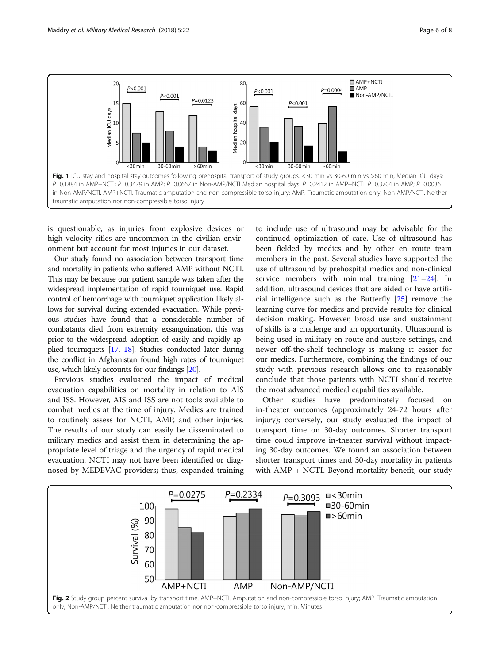<span id="page-5-0"></span>

is questionable, as injuries from explosive devices or high velocity rifles are uncommon in the civilian environment but account for most injuries in our dataset.

Our study found no association between transport time and mortality in patients who suffered AMP without NCTI. This may be because our patient sample was taken after the widespread implementation of rapid tourniquet use. Rapid control of hemorrhage with tourniquet application likely allows for survival during extended evacuation. While previous studies have found that a considerable number of combatants died from extremity exsanguination, this was prior to the widespread adoption of easily and rapidly applied tourniquets [\[17](#page-7-0), [18\]](#page-7-0). Studies conducted later during the conflict in Afghanistan found high rates of tourniquet use, which likely accounts for our findings [[20](#page-7-0)].

Previous studies evaluated the impact of medical evacuation capabilities on mortality in relation to AIS and ISS. However, AIS and ISS are not tools available to combat medics at the time of injury. Medics are trained to routinely assess for NCTI, AMP, and other injuries. The results of our study can easily be disseminated to military medics and assist them in determining the appropriate level of triage and the urgency of rapid medical evacuation. NCTI may not have been identified or diagnosed by MEDEVAC providers; thus, expanded training

to include use of ultrasound may be advisable for the continued optimization of care. Use of ultrasound has been fielded by medics and by other en route team members in the past. Several studies have supported the use of ultrasound by prehospital medics and non-clinical service members with minimal training [\[21](#page-7-0)–[24\]](#page-7-0). In addition, ultrasound devices that are aided or have artificial intelligence such as the Butterfly [[25\]](#page-7-0) remove the learning curve for medics and provide results for clinical decision making. However, broad use and sustainment of skills is a challenge and an opportunity. Ultrasound is being used in military en route and austere settings, and newer off-the-shelf technology is making it easier for our medics. Furthermore, combining the findings of our study with previous research allows one to reasonably conclude that those patients with NCTI should receive the most advanced medical capabilities available.

Other studies have predominately focused on in-theater outcomes (approximately 24-72 hours after injury); conversely, our study evaluated the impact of transport time on 30-day outcomes. Shorter transport time could improve in-theater survival without impacting 30-day outcomes. We found an association between shorter transport times and 30-day mortality in patients with AMP + NCTI. Beyond mortality benefit, our study

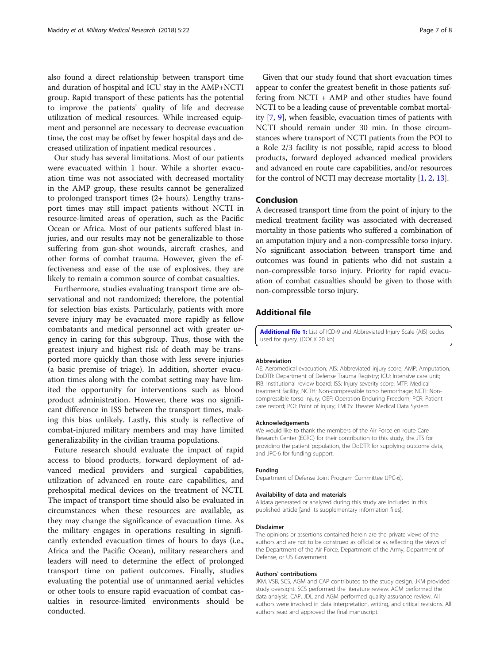<span id="page-6-0"></span>also found a direct relationship between transport time and duration of hospital and ICU stay in the AMP+NCTI group. Rapid transport of these patients has the potential to improve the patients' quality of life and decrease utilization of medical resources. While increased equipment and personnel are necessary to decrease evacuation time, the cost may be offset by fewer hospital days and decreased utilization of inpatient medical resources .

Our study has several limitations. Most of our patients were evacuated within 1 hour. While a shorter evacuation time was not associated with decreased mortality in the AMP group, these results cannot be generalized to prolonged transport times (2+ hours). Lengthy transport times may still impact patients without NCTI in resource-limited areas of operation, such as the Pacific Ocean or Africa. Most of our patients suffered blast injuries, and our results may not be generalizable to those suffering from gun-shot wounds, aircraft crashes, and other forms of combat trauma. However, given the effectiveness and ease of the use of explosives, they are likely to remain a common source of combat casualties.

Furthermore, studies evaluating transport time are observational and not randomized; therefore, the potential for selection bias exists. Particularly, patients with more severe injury may be evacuated more rapidly as fellow combatants and medical personnel act with greater urgency in caring for this subgroup. Thus, those with the greatest injury and highest risk of death may be transported more quickly than those with less severe injuries (a basic premise of triage). In addition, shorter evacuation times along with the combat setting may have limited the opportunity for interventions such as blood product administration. However, there was no significant difference in ISS between the transport times, making this bias unlikely. Lastly, this study is reflective of combat-injured military members and may have limited generalizability in the civilian trauma populations.

Future research should evaluate the impact of rapid access to blood products, forward deployment of advanced medical providers and surgical capabilities, utilization of advanced en route care capabilities, and prehospital medical devices on the treatment of NCTI. The impact of transport time should also be evaluated in circumstances when these resources are available, as they may change the significance of evacuation time. As the military engages in operations resulting in significantly extended evacuation times of hours to days (i.e., Africa and the Pacific Ocean), military researchers and leaders will need to determine the effect of prolonged transport time on patient outcomes. Finally, studies evaluating the potential use of unmanned aerial vehicles or other tools to ensure rapid evacuation of combat casualties in resource-limited environments should be conducted.

Given that our study found that short evacuation times appear to confer the greatest benefit in those patients suffering from NCTI + AMP and other studies have found NCTI to be a leading cause of preventable combat mortality [\[7,](#page-7-0) [9\]](#page-7-0), when feasible, evacuation times of patients with NCTI should remain under 30 min. In those circumstances where transport of NCTI patients from the POI to a Role 2/3 facility is not possible, rapid access to blood products, forward deployed advanced medical providers and advanced en route care capabilities, and/or resources for the control of NCTI may decrease mortality [[1,](#page-7-0) [2](#page-7-0), [13\]](#page-7-0).

# Conclusion

A decreased transport time from the point of injury to the medical treatment facility was associated with decreased mortality in those patients who suffered a combination of an amputation injury and a non-compressible torso injury. No significant association between transport time and outcomes was found in patients who did not sustain a non-compressible torso injury. Priority for rapid evacuation of combat casualties should be given to those with non-compressible torso injury.

# Additional file

[Additional file 1:](https://doi.org/10.1186/s40779-018-0169-2) List of ICD-9 and Abbreviated Injury Scale (AIS) codes used for query. (DOCX 20 kb)

#### Abbreviation

AE: Aeromedical evacuation; AIS: Abbreviated injury score; AMP: Amputation; DoDTR: Department of Defense Trauma Registry; ICU: Intensive care unit; IRB: Institutional review board; ISS: Injury severity score; MTF: Medical treatment facility; NCTH: Non-compressible torso hemorrhage; NCTI: Noncompressible torso injury; OEF: Operation Enduring Freedom; PCR: Patient care record; POI: Point of injury; TMDS: Theater Medical Data System

#### Acknowledgements

We would like to thank the members of the Air Force en route Care Research Center (ECRC) for their contribution to this study, the JTS for providing the patient population, the DoDTR for supplying outcome data, and JPC-6 for funding support.

#### Funding

Department of Defense Joint Program Committee (JPC-6).

#### Availability of data and materials

Alldata generated or analyzed during this study are included in this published article [and its supplementary information files].

#### Disclaimer

The opinions or assertions contained herein are the private views of the authors and are not to be construed as official or as reflecting the views of the Department of the Air Force, Department of the Army, Department of Defense, or US Government.

#### Authors' contributions

JKM, VSB, SCS, AGM and CAP contributed to the study design. JKM provided study oversight. SCS performed the literature review. AGM performed the data analysis. CAP, JDL and AGM performed quality assurance review. All authors were involved in data interpretation, writing, and critical revisions. All authors read and approved the final manuscript.